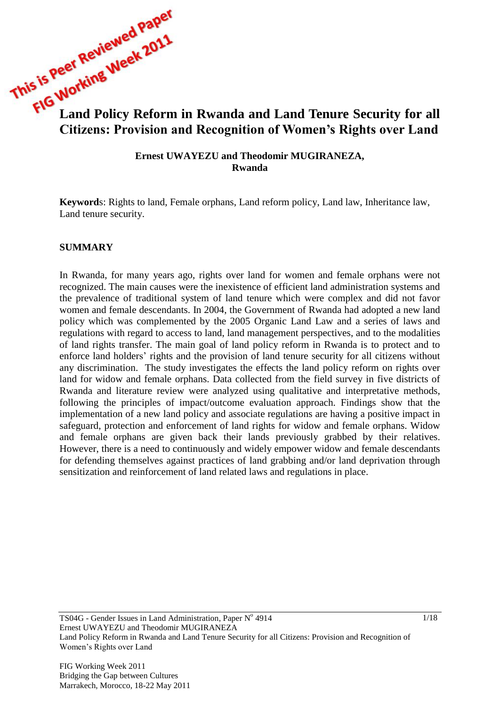**This is reprovements were referred to the VION SET of the VION Reform in Rwanda and Land Tenure Security for all Citizens: Provision and Recognition of Women's Rights over Land**

> **Ernest UWAYEZU and Theodomir MUGIRANEZA, Rwanda**

**Keyword**s: Rights to land, Female orphans, Land reform policy, Land law, Inheritance law, Land tenure security.

#### **SUMMARY**

In Rwanda, for many years ago, rights over land for women and female orphans were not recognized. The main causes were the inexistence of efficient land administration systems and the prevalence of traditional system of land tenure which were complex and did not favor women and female descendants. In 2004, the Government of Rwanda had adopted a new land policy which was complemented by the 2005 Organic Land Law and a series of laws and regulations with regard to access to land, land management perspectives, and to the modalities of land rights transfer. The main goal of land policy reform in Rwanda is to protect and to enforce land holders' rights and the provision of land tenure security for all citizens without any discrimination. The study investigates the effects the land policy reform on rights over land for widow and female orphans. Data collected from the field survey in five districts of Rwanda and literature review were analyzed using qualitative and interpretative methods, following the principles of impact/outcome evaluation approach. Findings show that the implementation of a new land policy and associate regulations are having a positive impact in safeguard, protection and enforcement of land rights for widow and female orphans. Widow and female orphans are given back their lands previously grabbed by their relatives. However, there is a need to continuously and widely empower widow and female descendants for defending themselves against practices of land grabbing and/or land deprivation through sensitization and reinforcement of land related laws and regulations in place.

TS04G - Gender Issues in Land Administration, Paper Nº 4914 Ernest UWAYEZU and Theodomir MUGIRANEZA Land Policy Reform in Rwanda and Land Tenure Security for all Citizens: Provision and Recognition of Women's Rights over Land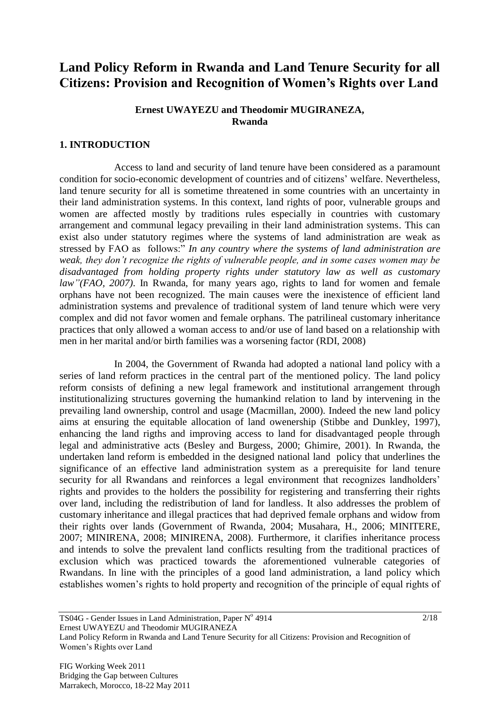# **Land Policy Reform in Rwanda and Land Tenure Security for all Citizens: Provision and Recognition of Women's Rights over Land**

### **Ernest UWAYEZU and Theodomir MUGIRANEZA, Rwanda**

# **1. INTRODUCTION**

Access to land and security of land tenure have been considered as a paramount condition for socio-economic development of countries and of citizens' welfare. Nevertheless, land tenure security for all is sometime threatened in some countries with an uncertainty in their land administration systems. In this context, land rights of poor, vulnerable groups and women are affected mostly by traditions rules especially in countries with customary arrangement and communal legacy prevailing in their land administration systems. This can exist also under statutory regimes where the systems of land administration are weak as stressed by FAO as follows:" *In any country where the systems of land administration are weak, they don't recognize the rights of vulnerable people, and in some cases women may be disadvantaged from holding property rights under statutory law as well as customary law"(FAO, 2007)*. In Rwanda, for many years ago, rights to land for women and female orphans have not been recognized. The main causes were the inexistence of efficient land administration systems and prevalence of traditional system of land tenure which were very complex and did not favor women and female orphans. The patrilineal customary inheritance practices that only allowed a woman access to and/or use of land based on a relationship with men in her marital and/or birth families was a worsening factor (RDI, 2008)

In 2004, the Government of Rwanda had adopted a national land policy with a series of land reform practices in the central part of the mentioned policy. The land policy reform consists of defining a new legal framework and institutional arrangement through institutionalizing structures governing the humankind relation to land by intervening in the prevailing land ownership, control and usage (Macmillan, 2000). Indeed the new land policy aims at ensuring the equitable allocation of land owenership (Stibbe and Dunkley, 1997), enhancing the land rigths and improving access to land for disadvantaged people through legal and administrative acts (Besley and Burgess, 2000; Ghimire, 2001). In Rwanda, the undertaken land reform is embedded in the designed national land policy that underlines the significance of an effective land administration system as a prerequisite for land tenure security for all Rwandans and reinforces a legal environment that recognizes landholders' rights and provides to the holders the possibility for registering and transferring their rights over land, including the redistribution of land for landless. It also addresses the problem of customary inheritance and illegal practices that had deprived female orphans and widow from their rights over lands (Government of Rwanda, 2004; Musahara, H., 2006; MINITERE, 2007; MINIRENA, 2008; MINIRENA, 2008). Furthermore, it clarifies inheritance process and intends to solve the prevalent land conflicts resulting from the traditional practices of exclusion which was practiced towards the aforementioned vulnerable categories of Rwandans. In line with the principles of a good land administration, a land policy which establishes women's rights to hold property and recognition of the principle of equal rights of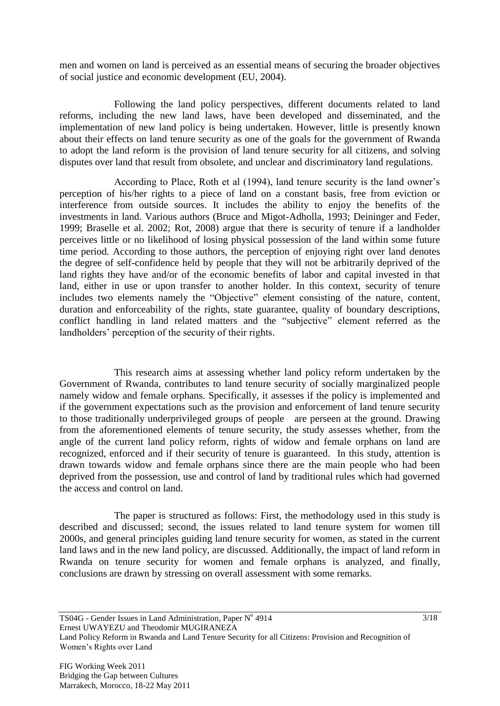men and women on land is perceived as an essential means of securing the broader objectives of social justice and economic development (EU, 2004).

Following the land policy perspectives, different documents related to land reforms, including the new land laws, have been developed and disseminated, and the implementation of new land policy is being undertaken. However, little is presently known about their effects on land tenure security as one of the goals for the government of Rwanda to adopt the land reform is the provision of land tenure security for all citizens, and solving disputes over land that result from obsolete, and unclear and discriminatory land regulations.

According to Place, Roth et al (1994), land tenure security is the land owner's perception of his/her rights to a piece of land on a constant basis, free from eviction or interference from outside sources. It includes the ability to enjoy the benefits of the investments in land. Various authors (Bruce and Migot-Adholla, 1993; Deininger and Feder, 1999; Braselle et al. 2002; Rot, 2008) argue that there is security of tenure if a landholder perceives little or no likelihood of losing physical possession of the land within some future time period. According to those authors, the perception of enjoying right over land denotes the degree of self-confidence held by people that they will not be arbitrarily deprived of the land rights they have and/or of the economic benefits of labor and capital invested in that land, either in use or upon transfer to another holder. In this context, security of tenure includes two elements namely the "Objective" element consisting of the nature, content, duration and enforceability of the rights, state guarantee, quality of boundary descriptions, conflict handling in land related matters and the "subjective" element referred as the landholders' perception of the security of their rights.

This research aims at assessing whether land policy reform undertaken by the Government of Rwanda, contributes to land tenure security of socially marginalized people namely widow and female orphans. Specifically, it assesses if the policy is implemented and if the government expectations such as the provision and enforcement of land tenure security to those traditionally underprivileged groups of people are perseen at the ground. Drawing from the aforementioned elements of tenure security, the study assesses whether, from the angle of the current land policy reform, rights of widow and female orphans on land are recognized, enforced and if their security of tenure is guaranteed. In this study, attention is drawn towards widow and female orphans since there are the main people who had been deprived from the possession, use and control of land by traditional rules which had governed the access and control on land.

The paper is structured as follows: First, the methodology used in this study is described and discussed; second, the issues related to land tenure system for women till 2000s, and general principles guiding land tenure security for women, as stated in the current land laws and in the new land policy, are discussed. Additionally, the impact of land reform in Rwanda on tenure security for women and female orphans is analyzed, and finally, conclusions are drawn by stressing on overall assessment with some remarks.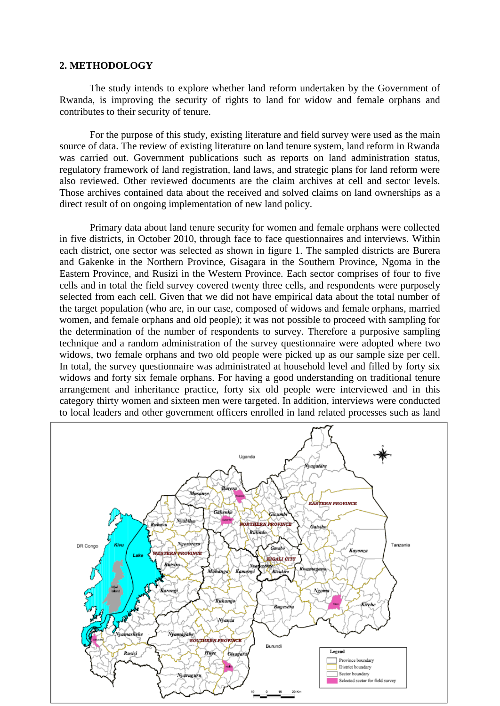#### **2. METHODOLOGY**

The study intends to explore whether land reform undertaken by the Government of Rwanda, is improving the security of rights to land for widow and female orphans and contributes to their security of tenure.

For the purpose of this study, existing literature and field survey were used as the main source of data. The review of existing literature on land tenure system, land reform in Rwanda was carried out. Government publications such as reports on land administration status, regulatory framework of land registration, land laws, and strategic plans for land reform were also reviewed. Other reviewed documents are the claim archives at cell and sector levels. Those archives contained data about the received and solved claims on land ownerships as a direct result of on ongoing implementation of new land policy.

Primary data about land tenure security for women and female orphans were collected in five districts, in October 2010, through face to face questionnaires and interviews. Within each district, one sector was selected as shown in figure 1. The sampled districts are Burera and Gakenke in the Northern Province, Gisagara in the Southern Province, Ngoma in the Eastern Province, and Rusizi in the Western Province. Each sector comprises of four to five cells and in total the field survey covered twenty three cells, and respondents were purposely selected from each cell. Given that we did not have empirical data about the total number of the target population (who are, in our case, composed of widows and female orphans, married women, and female orphans and old people); it was not possible to proceed with sampling for the determination of the number of respondents to survey. Therefore a purposive sampling technique and a random administration of the survey questionnaire were adopted where two widows, two female orphans and two old people were picked up as our sample size per cell. In total, the survey questionnaire was administrated at household level and filled by forty six widows and forty six female orphans. For having a good understanding on traditional tenure arrangement and inheritance practice, forty six old people were interviewed and in this category thirty women and sixteen men were targeted. In addition, interviews were conducted to local leaders and other government officers enrolled in land related processes such as land

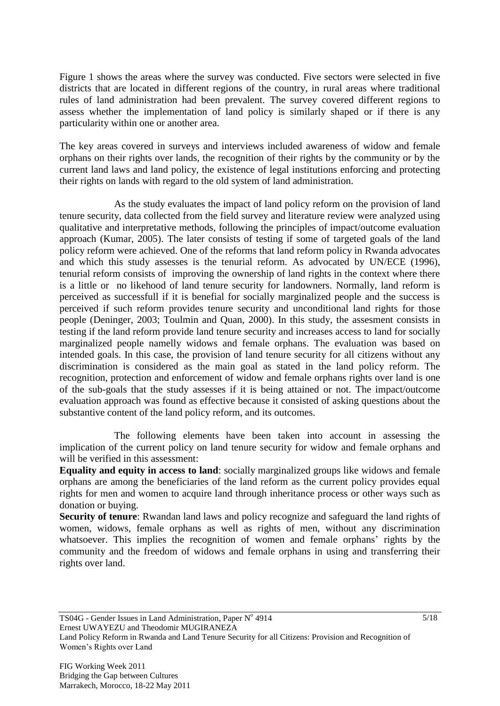Figure 1 shows the areas where the survey was conducted. Five sectors were selected in five districts that are located in different regions of the country, in rural areas where traditional rules of land administration had been prevalent. The survey covered different regions to assess whether the implementation of land policy is similarly shaped or if there is any particularity within one or another area.

The key areas covered in surveys and interviews included awareness of widow and female orphans on their rights over lands, the recognition of their rights by the community or by the current land laws and land policy, the existence of legal institutions enforcing and protecting their rights on lands with regard to the old system of land administration.

As the study evaluates the impact of land policy reform on the provision of land tenure security, data collected from the field survey and literature review were analyzed using qualitative and interpretative methods, following the principles of impact/outcome evaluation approach (Kumar, 2005). The later consists of testing if some of targeted goals of the land policy reform were achieved. One of the reforms that land reform policy in Rwanda advocates and which this study assesses is the tenurial reform. As advocated by UN/ECE (1996), tenurial reform consists of improving the ownership of land rights in the context where there is a little or no likehood of land tenure security for landowners. Normally, land reform is perceived as successfull if it is benefial for socially marginalized people and the success is perceived if such reform provides tenure security and unconditional land rights for those people (Deninger, 2003; Toulmin and Quan, 2000). In this study, the assesment consists in testing if the land reform provide land tenure security and increases access to land for socially marginalized people namelly widows and female orphans. The evaluation was based on intended goals. In this case, the provision of land tenure security for all citizens without any discrimination is considered as the main goal as stated in the land policy reform. The recognition, protection and enforcement of widow and female orphans rights over land is one of the sub-goals that the study assesses if it is being attained or not. The impact/outcome evaluation approach was found as effective because it consisted of asking questions about the substantive content of the land policy reform, and its outcomes.

The following elements have been taken into account in assessing the implication of the current policy on land tenure security for widow and female orphans and will be verified in this assessment:

**Equality and equity in access to land**: socially marginalized groups like widows and female orphans are among the beneficiaries of the land reform as the current policy provides equal rights for men and women to acquire land through inheritance process or other ways such as donation or buying.

**Security of tenure**: Rwandan land laws and policy recognize and safeguard the land rights of women, widows, female orphans as well as rights of men, without any discrimination whatsoever. This implies the recognition of women and female orphans' rights by the community and the freedom of widows and female orphans in using and transferring their rights over land.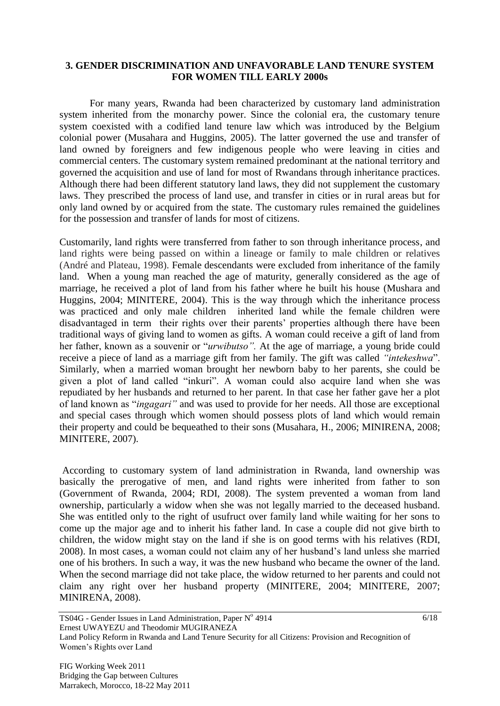#### **3. GENDER DISCRIMINATION AND UNFAVORABLE LAND TENURE SYSTEM FOR WOMEN TILL EARLY 2000s**

For many years, Rwanda had been characterized by customary land administration system inherited from the monarchy power. Since the colonial era, the customary tenure system coexisted with a codified land tenure law which was introduced by the Belgium colonial power (Musahara and Huggins, 2005). The latter governed the use and transfer of land owned by foreigners and few indigenous people who were leaving in cities and commercial centers. The customary system remained predominant at the national territory and governed the acquisition and use of land for most of Rwandans through inheritance practices. Although there had been different statutory land laws, they did not supplement the customary laws. They prescribed the process of land use, and transfer in cities or in rural areas but for only land owned by or acquired from the state. The customary rules remained the guidelines for the possession and transfer of lands for most of citizens.

Customarily, land rights were transferred from father to son through inheritance process, and land rights were being passed on within a lineage or family to male children or relatives (André and Plateau, 1998). Female descendants were excluded from inheritance of the family land. When a young man reached the age of maturity, generally considered as the age of marriage, he received a plot of land from his father where he built his house (Mushara and Huggins, 2004; MINITERE, 2004). This is the way through which the inheritance process was practiced and only male children inherited land while the female children were disadvantaged in term their rights over their parents' properties although there have been traditional ways of giving land to women as gifts. A woman could receive a gift of land from her father, known as a souvenir or "*urwibutso".* At the age of marriage, a young bride could receive a piece of land as a marriage gift from her family. The gift was called *"intekeshwa*". Similarly, when a married woman brought her newborn baby to her parents, she could be given a plot of land called "inkuri". A woman could also acquire land when she was repudiated by her husbands and returned to her parent. In that case her father gave her a plot of land known as "*ingagari"* and was used to provide for her needs. All those are exceptional and special cases through which women should possess plots of land which would remain their property and could be bequeathed to their sons (Musahara, H., 2006; MINIRENA, 2008; MINITERE, 2007).

According to customary system of land administration in Rwanda, land ownership was basically the prerogative of men, and land rights were inherited from father to son (Government of Rwanda, 2004; RDI, 2008). The system prevented a woman from land ownership, particularly a widow when she was not legally married to the deceased husband. She was entitled only to the right of usufruct over family land while waiting for her sons to come up the major age and to inherit his father land. In case a couple did not give birth to children, the widow might stay on the land if she is on good terms with his relatives (RDI, 2008). In most cases, a woman could not claim any of her husband's land unless she married one of his brothers. In such a way, it was the new husband who became the owner of the land. When the second marriage did not take place, the widow returned to her parents and could not claim any right over her husband property (MINITERE, 2004; MINITERE, 2007; MINIRENA, 2008).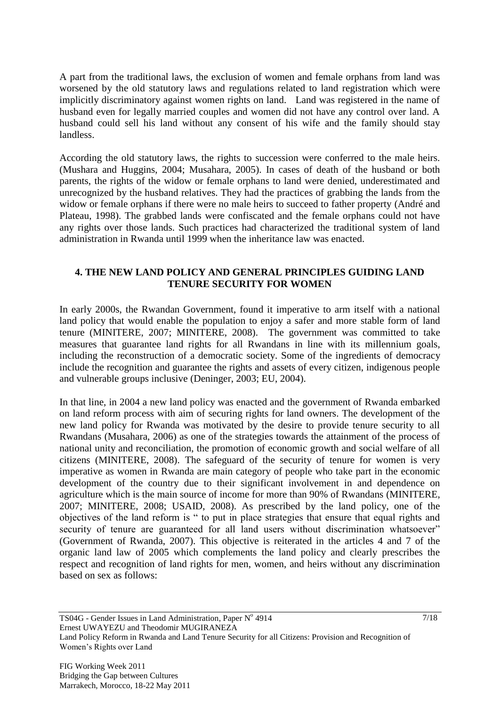A part from the traditional laws, the exclusion of women and female orphans from land was worsened by the old statutory laws and regulations related to land registration which were implicitly discriminatory against women rights on land. Land was registered in the name of husband even for legally married couples and women did not have any control over land. A husband could sell his land without any consent of his wife and the family should stay landless.

According the old statutory laws, the rights to succession were conferred to the male heirs. (Mushara and Huggins, 2004; Musahara, 2005). In cases of death of the husband or both parents, the rights of the widow or female orphans to land were denied, underestimated and unrecognized by the husband relatives. They had the practices of grabbing the lands from the widow or female orphans if there were no male heirs to succeed to father property (André and Plateau, 1998). The grabbed lands were confiscated and the female orphans could not have any rights over those lands. Such practices had characterized the traditional system of land administration in Rwanda until 1999 when the inheritance law was enacted.

## **4. THE NEW LAND POLICY AND GENERAL PRINCIPLES GUIDING LAND TENURE SECURITY FOR WOMEN**

In early 2000s, the Rwandan Government, found it imperative to arm itself with a national land policy that would enable the population to enjoy a safer and more stable form of land tenure (MINITERE, 2007; MINITERE, 2008). The government was committed to take measures that guarantee land rights for all Rwandans in line with its millennium goals, including the reconstruction of a democratic society. Some of the ingredients of democracy include the recognition and guarantee the rights and assets of every citizen, indigenous people and vulnerable groups inclusive (Deninger, 2003; EU, 2004).

In that line, in 2004 a new land policy was enacted and the government of Rwanda embarked on land reform process with aim of securing rights for land owners. The development of the new land policy for Rwanda was motivated by the desire to provide tenure security to all Rwandans (Musahara, 2006) as one of the strategies towards the attainment of the process of national unity and reconciliation, the promotion of economic growth and social welfare of all citizens (MINITERE, 2008). The safeguard of the security of tenure for women is very imperative as women in Rwanda are main category of people who take part in the economic development of the country due to their significant involvement in and dependence on agriculture which is the main source of income for more than 90% of Rwandans (MINITERE, 2007; MINITERE, 2008; USAID, 2008). As prescribed by the land policy, one of the objectives of the land reform is " to put in place strategies that ensure that equal rights and security of tenure are guaranteed for all land users without discrimination whatsoever" (Government of Rwanda, 2007). This objective is reiterated in the articles 4 and 7 of the organic land law of 2005 which complements the land policy and clearly prescribes the respect and recognition of land rights for men, women, and heirs without any discrimination based on sex as follows: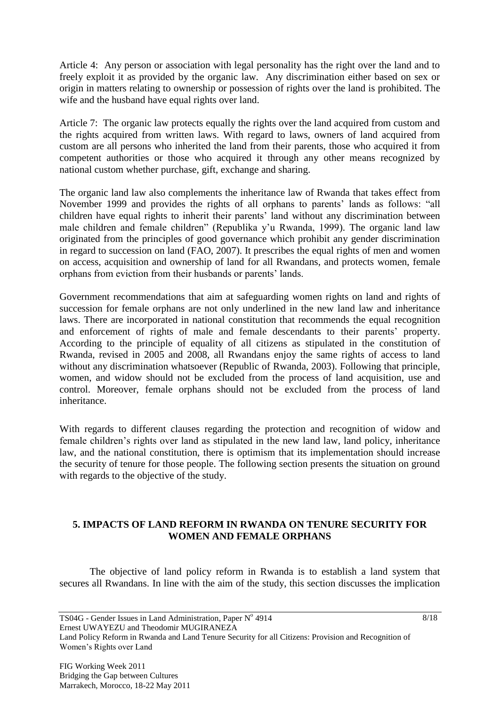Article 4: Any person or association with legal personality has the right over the land and to freely exploit it as provided by the organic law. Any discrimination either based on sex or origin in matters relating to ownership or possession of rights over the land is prohibited. The wife and the husband have equal rights over land.

Article 7: The organic law protects equally the rights over the land acquired from custom and the rights acquired from written laws. With regard to laws, owners of land acquired from custom are all persons who inherited the land from their parents, those who acquired it from competent authorities or those who acquired it through any other means recognized by national custom whether purchase, gift, exchange and sharing.

The organic land law also complements the inheritance law of Rwanda that takes effect from November 1999 and provides the rights of all orphans to parents' lands as follows: "all children have equal rights to inherit their parents' land without any discrimination between male children and female children" (Republika y'u Rwanda, 1999). The organic land law originated from the principles of good governance which prohibit any gender discrimination in regard to succession on land (FAO, 2007). It prescribes the equal rights of men and women on access, acquisition and ownership of land for all Rwandans, and protects women, female orphans from eviction from their husbands or parents' lands.

Government recommendations that aim at safeguarding women rights on land and rights of succession for female orphans are not only underlined in the new land law and inheritance laws. There are incorporated in national constitution that recommends the equal recognition and enforcement of rights of male and female descendants to their parents' property. According to the principle of equality of all citizens as stipulated in the constitution of Rwanda, revised in 2005 and 2008, all Rwandans enjoy the same rights of access to land without any discrimination whatsoever (Republic of Rwanda, 2003). Following that principle, women, and widow should not be excluded from the process of land acquisition, use and control. Moreover, female orphans should not be excluded from the process of land inheritance.

With regards to different clauses regarding the protection and recognition of widow and female children's rights over land as stipulated in the new land law, land policy, inheritance law, and the national constitution, there is optimism that its implementation should increase the security of tenure for those people. The following section presents the situation on ground with regards to the objective of the study.

#### **5. IMPACTS OF LAND REFORM IN RWANDA ON TENURE SECURITY FOR WOMEN AND FEMALE ORPHANS**

The objective of land policy reform in Rwanda is to establish a land system that secures all Rwandans. In line with the aim of the study, this section discusses the implication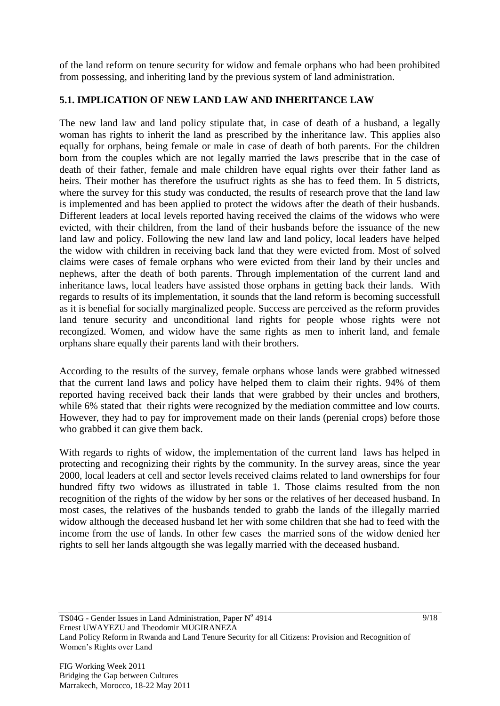of the land reform on tenure security for widow and female orphans who had been prohibited from possessing, and inheriting land by the previous system of land administration.

# **5.1. IMPLICATION OF NEW LAND LAW AND INHERITANCE LAW**

The new land law and land policy stipulate that, in case of death of a husband, a legally woman has rights to inherit the land as prescribed by the inheritance law. This applies also equally for orphans, being female or male in case of death of both parents. For the children born from the couples which are not legally married the laws prescribe that in the case of death of their father, female and male children have equal rights over their father land as heirs. Their mother has therefore the usufruct rights as she has to feed them. In 5 districts, where the survey for this study was conducted, the results of research prove that the land law is implemented and has been applied to protect the widows after the death of their husbands. Different leaders at local levels reported having received the claims of the widows who were evicted, with their children, from the land of their husbands before the issuance of the new land law and policy. Following the new land law and land policy, local leaders have helped the widow with children in receiving back land that they were evicted from. Most of solved claims were cases of female orphans who were evicted from their land by their uncles and nephews, after the death of both parents. Through implementation of the current land and inheritance laws, local leaders have assisted those orphans in getting back their lands. With regards to results of its implementation, it sounds that the land reform is becoming successfull as it is benefial for socially marginalized people. Success are perceived as the reform provides land tenure security and unconditional land rights for people whose rights were not recongized. Women, and widow have the same rights as men to inherit land, and female orphans share equally their parents land with their brothers.

According to the results of the survey, female orphans whose lands were grabbed witnessed that the current land laws and policy have helped them to claim their rights. 94% of them reported having received back their lands that were grabbed by their uncles and brothers, while 6% stated that their rights were recognized by the mediation committee and low courts. However, they had to pay for improvement made on their lands (perenial crops) before those who grabbed it can give them back.

With regards to rights of widow, the implementation of the current land laws has helped in protecting and recognizing their rights by the community. In the survey areas, since the year 2000, local leaders at cell and sector levels received claims related to land ownerships for four hundred fifty two widows as illustrated in table 1. Those claims resulted from the non recognition of the rights of the widow by her sons or the relatives of her deceased husband. In most cases, the relatives of the husbands tended to grabb the lands of the illegally married widow although the deceased husband let her with some children that she had to feed with the income from the use of lands. In other few cases the married sons of the widow denied her rights to sell her lands altgougth she was legally married with the deceased husband.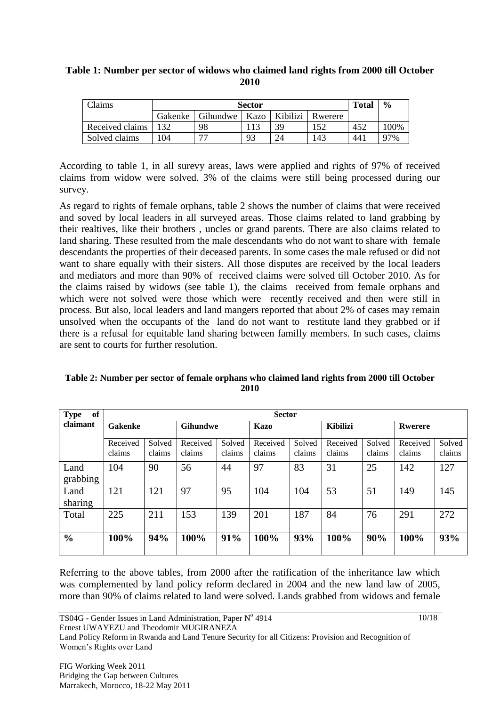## **Table 1: Number per sector of widows who claimed land rights from 2000 till October 2010**

| Claims          |         | <b>Total</b>    | $\frac{6}{9}$ |          |         |     |      |
|-----------------|---------|-----------------|---------------|----------|---------|-----|------|
|                 | Gakenke | Gihundwe   Kazo |               | Kibilizi | Rwerere |     |      |
| Received claims | 132     | 98              |               | 39       | 152     | 452 | 100% |
| Solved claims   | 104     | ––              | 93            |          | 143     | 441 | 97%  |

According to table 1, in all surevy areas, laws were applied and rights of 97% of received claims from widow were solved. 3% of the claims were still being processed during our survey.

As regard to rights of female orphans, table 2 shows the number of claims that were received and soved by local leaders in all surveyed areas. Those claims related to land grabbing by their realtives, like their brothers , uncles or grand parents. There are also claims related to land sharing. These resulted from the male descendants who do not want to share with female descendants the properties of their deceased parents. In some cases the male refused or did not want to share equally with their sisters. All those disputes are received by the local leaders and mediators and more than 90% of received claims were solved till October 2010. As for the claims raised by widows (see table 1), the claims received from female orphans and which were not solved were those which were recently received and then were still in process. But also, local leaders and land mangers reported that about 2% of cases may remain unsolved when the occupants of the land do not want to restitute land they grabbed or if there is a refusal for equitable land sharing between familly members. In such cases, claims are sent to courts for further resolution.

| of<br><b>Type</b>          | <b>Sector</b> |                 |          |        |             |        |                 |        |          |        |
|----------------------------|---------------|-----------------|----------|--------|-------------|--------|-----------------|--------|----------|--------|
| claimant<br><b>Gakenke</b> |               | <b>Gihundwe</b> |          |        | <b>Kazo</b> |        | <b>Kibilizi</b> |        | Rwerere  |        |
|                            | Received      | Solved          | Received | Solved | Received    | Solved | Received        | Solved | Received | Solved |
|                            | claims        | claims          | claims   | claims | claims      | claims | claims          | claims | claims   | claims |
| Land<br>grabbing           | 104           | 90              | 56       | 44     | 97          | 83     | 31              | 25     | 142      | 127    |
| Land<br>sharing            | 121           | 121             | 97       | 95     | 104         | 104    | 53              | 51     | 149      | 145    |
| Total                      | 225           | 211             | 153      | 139    | 201         | 187    | 84              | 76     | 291      | 272    |
| $\frac{0}{0}$              | 100%          | 94%             | 100%     | 91%    | 100%        | 93%    | 100%            | 90%    | 100%     | 93%    |

**Table 2: Number per sector of female orphans who claimed land rights from 2000 till October 2010**

Referring to the above tables, from 2000 after the ratification of the inheritance law which was complemented by land policy reform declared in 2004 and the new land law of 2005, more than 90% of claims related to land were solved. Lands grabbed from widows and female

TS04G - Gender Issues in Land Administration, Paper Nº 4914 Ernest UWAYEZU and Theodomir MUGIRANEZA

Land Policy Reform in Rwanda and Land Tenure Security for all Citizens: Provision and Recognition of Women's Rights over Land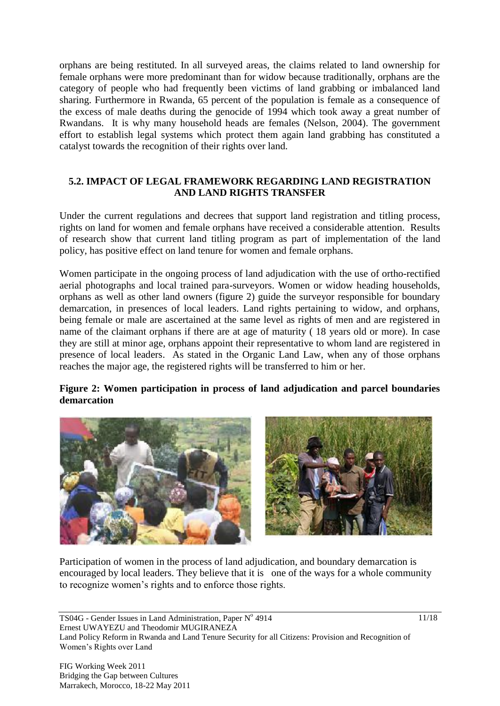orphans are being restituted. In all surveyed areas, the claims related to land ownership for female orphans were more predominant than for widow because traditionally, orphans are the category of people who had frequently been victims of land grabbing or imbalanced land sharing. Furthermore in Rwanda, 65 percent of the population is female as a consequence of the excess of male deaths during the genocide of 1994 which took away a great number of Rwandans. It is why many household heads are females (Nelson, 2004). The government effort to establish legal systems which protect them again land grabbing has constituted a catalyst towards the recognition of their rights over land.

#### **5.2. IMPACT OF LEGAL FRAMEWORK REGARDING LAND REGISTRATION AND LAND RIGHTS TRANSFER**

Under the current regulations and decrees that support land registration and titling process, rights on land for women and female orphans have received a considerable attention. Results of research show that current land titling program as part of implementation of the land policy, has positive effect on land tenure for women and female orphans.

Women participate in the ongoing process of land adjudication with the use of ortho-rectified aerial photographs and local trained para-surveyors. Women or widow heading households, orphans as well as other land owners (figure 2) guide the surveyor responsible for boundary demarcation, in presences of local leaders. Land rights pertaining to widow, and orphans, being female or male are ascertained at the same level as rights of men and are registered in name of the claimant orphans if there are at age of maturity ( 18 years old or more). In case they are still at minor age, orphans appoint their representative to whom land are registered in presence of local leaders. As stated in the Organic Land Law, when any of those orphans reaches the major age, the registered rights will be transferred to him or her.

#### **Figure 2: Women participation in process of land adjudication and parcel boundaries demarcation**



Participation of women in the process of land adjudication, and boundary demarcation is encouraged by local leaders. They believe that it is one of the ways for a whole community to recognize women's rights and to enforce those rights.

TS04G - Gender Issues in Land Administration, Paper Nº 4914 Ernest UWAYEZU and Theodomir MUGIRANEZA Land Policy Reform in Rwanda and Land Tenure Security for all Citizens: Provision and Recognition of Women's Rights over Land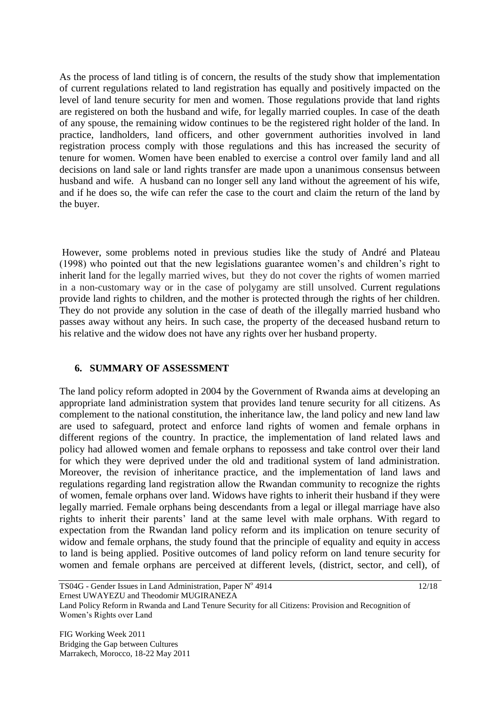As the process of land titling is of concern, the results of the study show that implementation of current regulations related to land registration has equally and positively impacted on the level of land tenure security for men and women. Those regulations provide that land rights are registered on both the husband and wife, for legally married couples. In case of the death of any spouse, the remaining widow continues to be the registered right holder of the land. In practice, landholders, land officers, and other government authorities involved in land registration process comply with those regulations and this has increased the security of tenure for women. Women have been enabled to exercise a control over family land and all decisions on land sale or land rights transfer are made upon a unanimous consensus between husband and wife. A husband can no longer sell any land without the agreement of his wife, and if he does so, the wife can refer the case to the court and claim the return of the land by the buyer.

However, some problems noted in previous studies like the study of André and Plateau (1998) who pointed out that the new legislations guarantee women's and children's right to inherit land for the legally married wives, but they do not cover the rights of women married in a non-customary way or in the case of polygamy are still unsolved. Current regulations provide land rights to children, and the mother is protected through the rights of her children. They do not provide any solution in the case of death of the illegally married husband who passes away without any heirs. In such case, the property of the deceased husband return to his relative and the widow does not have any rights over her husband property.

#### **6. SUMMARY OF ASSESSMENT**

The land policy reform adopted in 2004 by the Government of Rwanda aims at developing an appropriate land administration system that provides land tenure security for all citizens. As complement to the national constitution, the inheritance law, the land policy and new land law are used to safeguard, protect and enforce land rights of women and female orphans in different regions of the country. In practice, the implementation of land related laws and policy had allowed women and female orphans to repossess and take control over their land for which they were deprived under the old and traditional system of land administration. Moreover, the revision of inheritance practice, and the implementation of land laws and regulations regarding land registration allow the Rwandan community to recognize the rights of women, female orphans over land. Widows have rights to inherit their husband if they were legally married. Female orphans being descendants from a legal or illegal marriage have also rights to inherit their parents' land at the same level with male orphans. With regard to expectation from the Rwandan land policy reform and its implication on tenure security of widow and female orphans, the study found that the principle of equality and equity in access to land is being applied. Positive outcomes of land policy reform on land tenure security for women and female orphans are perceived at different levels, (district, sector, and cell), of

Land Policy Reform in Rwanda and Land Tenure Security for all Citizens: Provision and Recognition of Women's Rights over Land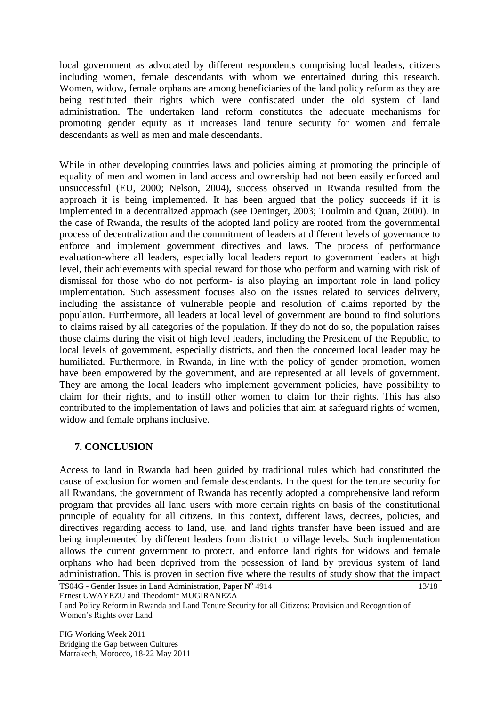local government as advocated by different respondents comprising local leaders, citizens including women, female descendants with whom we entertained during this research. Women, widow, female orphans are among beneficiaries of the land policy reform as they are being restituted their rights which were confiscated under the old system of land administration. The undertaken land reform constitutes the adequate mechanisms for promoting gender equity as it increases land tenure security for women and female descendants as well as men and male descendants.

While in other developing countries laws and policies aiming at promoting the principle of equality of men and women in land access and ownership had not been easily enforced and unsuccessful (EU, 2000; Nelson, 2004), success observed in Rwanda resulted from the approach it is being implemented. It has been argued that the policy succeeds if it is implemented in a decentralized approach (see Deninger, 2003; Toulmin and Quan, 2000). In the case of Rwanda, the results of the adopted land policy are rooted from the governmental process of decentralization and the commitment of leaders at different levels of governance to enforce and implement government directives and laws. The process of performance evaluation-where all leaders, especially local leaders report to government leaders at high level, their achievements with special reward for those who perform and warning with risk of dismissal for those who do not perform- is also playing an important role in land policy implementation. Such assessment focuses also on the issues related to services delivery, including the assistance of vulnerable people and resolution of claims reported by the population. Furthermore, all leaders at local level of government are bound to find solutions to claims raised by all categories of the population. If they do not do so, the population raises those claims during the visit of high level leaders, including the President of the Republic, to local levels of government, especially districts, and then the concerned local leader may be humiliated. Furthermore, in Rwanda, in line with the policy of gender promotion, women have been empowered by the government, and are represented at all levels of government. They are among the local leaders who implement government policies, have possibility to claim for their rights, and to instill other women to claim for their rights. This has also contributed to the implementation of laws and policies that aim at safeguard rights of women, widow and female orphans inclusive.

# **7. CONCLUSION**

TS04G - Gender Issues in Land Administration, Paper Nº 4914 13/18 Access to land in Rwanda had been guided by traditional rules which had constituted the cause of exclusion for women and female descendants. In the quest for the tenure security for all Rwandans, the government of Rwanda has recently adopted a comprehensive land reform program that provides all land users with more certain rights on basis of the constitutional principle of equality for all citizens. In this context, different laws, decrees, policies, and directives regarding access to land, use, and land rights transfer have been issued and are being implemented by different leaders from district to village levels. Such implementation allows the current government to protect, and enforce land rights for widows and female orphans who had been deprived from the possession of land by previous system of land administration. This is proven in section five where the results of study show that the impact

Ernest UWAYEZU and Theodomir MUGIRANEZA

Land Policy Reform in Rwanda and Land Tenure Security for all Citizens: Provision and Recognition of Women's Rights over Land

FIG Working Week 2011 Bridging the Gap between Cultures Marrakech, Morocco, 18-22 May 2011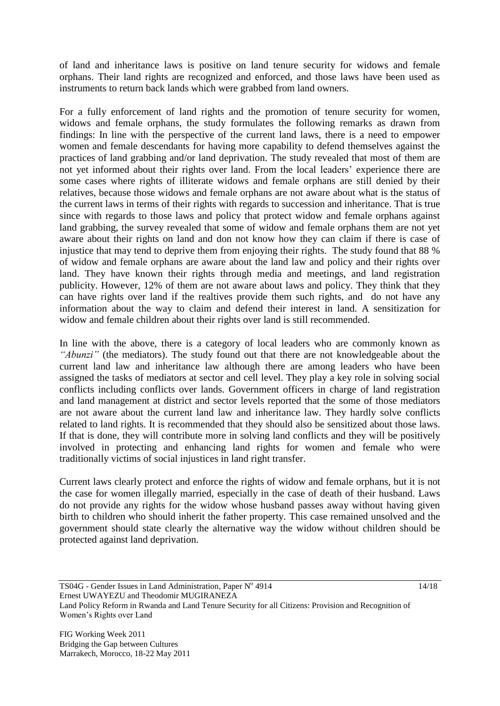of land and inheritance laws is positive on land tenure security for widows and female orphans. Their land rights are recognized and enforced, and those laws have been used as instruments to return back lands which were grabbed from land owners.

For a fully enforcement of land rights and the promotion of tenure security for women, widows and female orphans, the study formulates the following remarks as drawn from findings: In line with the perspective of the current land laws, there is a need to empower women and female descendants for having more capability to defend themselves against the practices of land grabbing and/or land deprivation. The study revealed that most of them are not yet informed about their rights over land. From the local leaders' experience there are some cases where rights of illiterate widows and female orphans are still denied by their relatives, because those widows and female orphans are not aware about what is the status of the current laws in terms of their rights with regards to succession and inheritance. That is true since with regards to those laws and policy that protect widow and female orphans against land grabbing, the survey revealed that some of widow and female orphans them are not yet aware about their rights on land and don not know how they can claim if there is case of injustice that may tend to deprive them from enjoying their rights. The study found that 88 % of widow and female orphans are aware about the land law and policy and their rights over land. They have known their rights through media and meetings, and land registration publicity. However, 12% of them are not aware about laws and policy. They think that they can have rights over land if the realtives provide them such rights, and do not have any information about the way to claim and defend their interest in land. A sensitization for widow and female children about their rights over land is still recommended.

In line with the above, there is a category of local leaders who are commonly known as *"Abunzi"* (the mediators). The study found out that there are not knowledgeable about the current land law and inheritance law although there are among leaders who have been assigned the tasks of mediators at sector and cell level. They play a key role in solving social conflicts including conflicts over lands. Government officers in charge of land registration and land management at district and sector levels reported that the some of those mediators are not aware about the current land law and inheritance law. They hardly solve conflicts related to land rights. It is recommended that they should also be sensitized about those laws. If that is done, they will contribute more in solving land conflicts and they will be positively involved in protecting and enhancing land rights for women and female who were traditionally victims of social injustices in land right transfer.

Current laws clearly protect and enforce the rights of widow and female orphans, but it is not the case for women illegally married, especially in the case of death of their husband. Laws do not provide any rights for the widow whose husband passes away without having given birth to children who should inherit the father property. This case remained unsolved and the government should state clearly the alternative way the widow without children should be protected against land deprivation.

Ernest UWAYEZU and Theodomir MUGIRANEZA

Land Policy Reform in Rwanda and Land Tenure Security for all Citizens: Provision and Recognition of Women's Rights over Land

TS04G - Gender Issues in Land Administration, Paper Nº 4914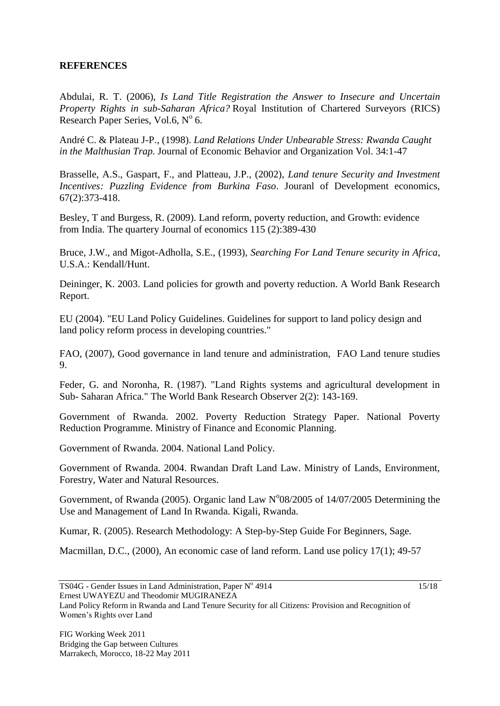#### **REFERENCES**

Abdulai, R. T. (2006), *Is Land Title Registration the Answer to Insecure and Uncertain Property Rights in sub-Saharan Africa?* Royal Institution of Chartered Surveyors (RICS) Research Paper Series, Vol.6,  $N^{\circ}$  6.

André C. & Plateau J-P., (1998). *Land Relations Under Unbearable Stress: Rwanda Caught in the Malthusian Trap.* Journal of Economic Behavior and Organization Vol. 34:1-47

Brasselle, A.S., Gaspart, F., and Platteau, J.P., (2002), *Land tenure Security and Investment Incentives: Puzzling Evidence from Burkina Faso*. Jouranl of Development economics, 67(2):373-418.

Besley, T and Burgess, R. (2009). Land reform, poverty reduction, and Growth: evidence from India. The quartery Journal of economics 115 (2):389-430

Bruce, J.W., and Migot-Adholla, S.E., (1993), *Searching For Land Tenure security in Africa*,  $U.S.A.Kendall/H$ unt.

Deininger, K. 2003. Land policies for growth and poverty reduction. A World Bank Research Report.

EU (2004). "EU Land Policy Guidelines. Guidelines for support to land policy design and land policy reform process in developing countries."

FAO, (2007), Good governance in land tenure and administration, FAO Land tenure studies 9.

Feder, G. and Noronha, R. (1987). "Land Rights systems and agricultural development in Sub- Saharan Africa." The World Bank Research Observer 2(2): 143-169.

Government of Rwanda. 2002. Poverty Reduction Strategy Paper. National Poverty Reduction Programme. Ministry of Finance and Economic Planning.

Government of Rwanda. 2004. National Land Policy.

Government of Rwanda. 2004. Rwandan Draft Land Law. Ministry of Lands, Environment, Forestry, Water and Natural Resources.

Government, of Rwanda (2005). Organic land Law  $N^0$ 08/2005 of 14/07/2005 Determining the Use and Management of Land In Rwanda. Kigali, Rwanda.

Kumar, R. (2005). Research Methodology: A Step-by-Step Guide For Beginners, Sage.

Macmillan, D.C., (2000), An economic case of land reform. Land use policy 17(1); 49-57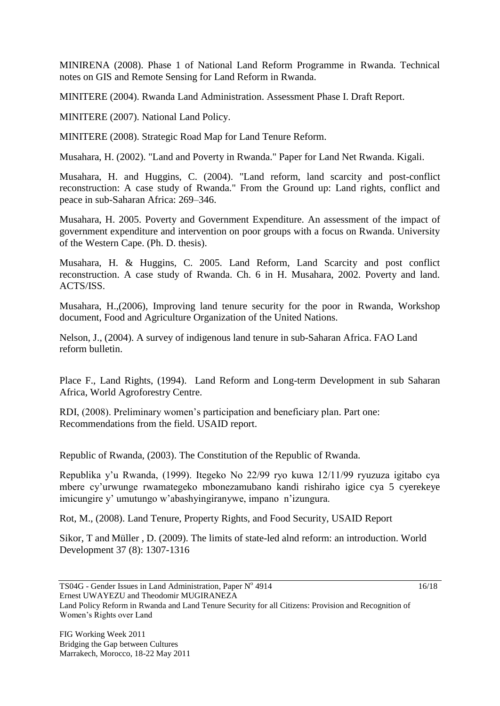MINIRENA (2008). Phase 1 of National Land Reform Programme in Rwanda. Technical notes on GIS and Remote Sensing for Land Reform in Rwanda.

MINITERE (2004). Rwanda Land Administration. Assessment Phase I. Draft Report.

MINITERE (2007). National Land Policy.

MINITERE (2008). Strategic Road Map for Land Tenure Reform.

Musahara, H. (2002). "Land and Poverty in Rwanda." Paper for Land Net Rwanda. Kigali.

Musahara, H. and Huggins, C. (2004). "Land reform, land scarcity and post-conflict reconstruction: A case study of Rwanda." From the Ground up: Land rights, conflict and peace in sub-Saharan Africa: 269–346.

Musahara, H. 2005. Poverty and Government Expenditure. An assessment of the impact of government expenditure and intervention on poor groups with a focus on Rwanda. University of the Western Cape. (Ph. D. thesis).

Musahara, H. & Huggins, C. 2005. Land Reform, Land Scarcity and post conflict reconstruction. A case study of Rwanda. Ch. 6 in H. Musahara, 2002. Poverty and land. ACTS/ISS.

Musahara, H.,(2006), Improving land tenure security for the poor in Rwanda, Workshop document, Food and Agriculture Organization of the United Nations.

Nelson, J., (2004). A survey of indigenous land tenure in sub-Saharan Africa. FAO Land reform bulletin.

Place F., Land Rights, (1994). Land Reform and Long-term Development in sub Saharan Africa, World Agroforestry Centre.

RDI, (2008). Preliminary women's participation and beneficiary plan. Part one: Recommendations from the field. USAID report.

Republic of Rwanda, (2003). The Constitution of the Republic of Rwanda.

Republika y'u Rwanda, (1999). Itegeko No 22/99 ryo kuwa 12/11/99 ryuzuza igitabo cya mbere cy'urwunge rwamategeko mbonezamubano kandi rishiraho igice cya 5 cyerekeye imicungire y' umutungo w'abashyingiranywe, impano n'izungura.

Rot, M., (2008). Land Tenure, Property Rights, and Food Security, USAID Report

Sikor, T and Müller , D. (2009). The limits of state-led alnd reform: an introduction. World Development 37 (8): 1307-1316

TS04G - Gender Issues in Land Administration, Paper Nº 4914 Ernest UWAYEZU and Theodomir MUGIRANEZA

Land Policy Reform in Rwanda and Land Tenure Security for all Citizens: Provision and Recognition of Women's Rights over Land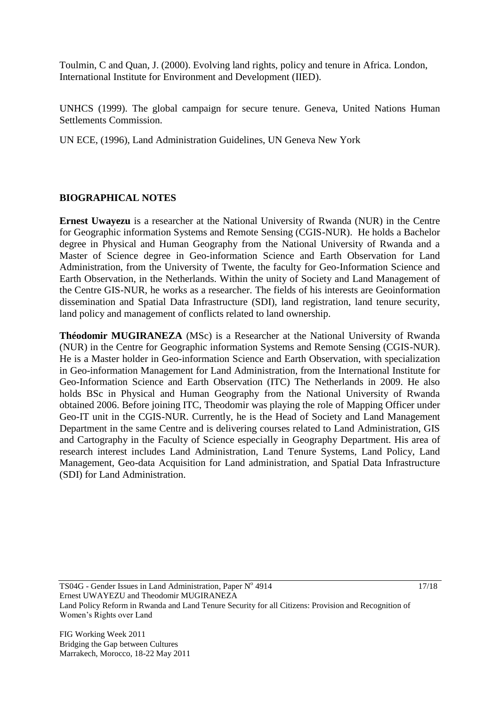Toulmin, C and Quan, J. (2000). Evolving land rights, policy and tenure in Africa. London, International Institute for Environment and Development (IIED).

UNHCS (1999). The global campaign for secure tenure. Geneva, United Nations Human Settlements Commission.

UN ECE, (1996), Land Administration Guidelines, UN Geneva New York

#### **BIOGRAPHICAL NOTES**

**Ernest Uwayezu** is a researcher at the National University of Rwanda (NUR) in the Centre for Geographic information Systems and Remote Sensing (CGIS-NUR). He holds a Bachelor degree in Physical and Human Geography from the National University of Rwanda and a Master of Science degree in Geo-information Science and Earth Observation for Land Administration, from the University of Twente, the faculty for Geo-Information Science and Earth Observation, in the Netherlands. Within the unity of Society and Land Management of the Centre GIS-NUR, he works as a researcher. The fields of his interests are Geoinformation dissemination and Spatial Data Infrastructure (SDI), land registration, land tenure security, land policy and management of conflicts related to land ownership.

**Théodomir MUGIRANEZA** (MSc) is a Researcher at the National University of Rwanda (NUR) in the Centre for Geographic information Systems and Remote Sensing (CGIS-NUR). He is a Master holder in Geo-information Science and Earth Observation, with specialization in Geo-information Management for Land Administration, from the International Institute for Geo-Information Science and Earth Observation (ITC) The Netherlands in 2009. He also holds BSc in Physical and Human Geography from the National University of Rwanda obtained 2006. Before joining ITC, Theodomir was playing the role of Mapping Officer under Geo-IT unit in the CGIS-NUR. Currently, he is the Head of Society and Land Management Department in the same Centre and is delivering courses related to Land Administration, GIS and Cartography in the Faculty of Science especially in Geography Department. His area of research interest includes Land Administration, Land Tenure Systems, Land Policy, Land Management, Geo-data Acquisition for Land administration, and Spatial Data Infrastructure (SDI) for Land Administration.

17/18

TS04G - Gender Issues in Land Administration, Paper Nº 4914 Ernest UWAYEZU and Theodomir MUGIRANEZA Land Policy Reform in Rwanda and Land Tenure Security for all Citizens: Provision and Recognition of Women's Rights over Land